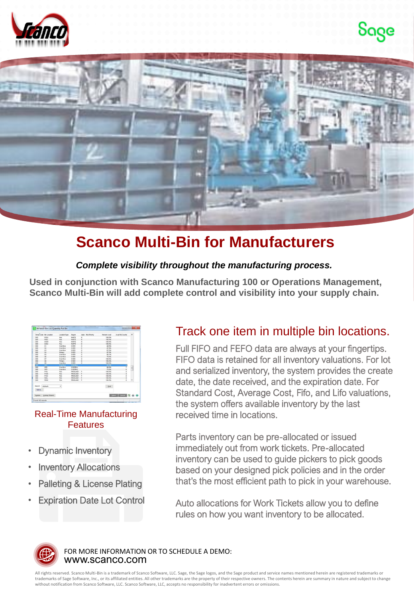





## **Scanco Multi-Bin for Manufacturers**

#### *Complete visibility throughout the manufacturing process.*

**Used in conjunction with Scanco Manufacturing 100 or Operations Management, Scanco Multi-Bin will add complete control and visibility into your supply chain.** 

|        | Vihae Code Bin Location | LocationType | Region         |          | Alale Pick Priority | Percent Avail | Avail Pal Counts          | ٠ |  |
|--------|-------------------------|--------------|----------------|----------|---------------------|---------------|---------------------------|---|--|
| con    | MSOU                    | Pek          | <b>RARTS</b>   | u        |                     | 100.0%        |                           |   |  |
| 000    | M40L                    | Pick         | <b>NARTS</b>   | u        |                     | 100.0%        |                           |   |  |
| 888    | M40M                    | Pick         | <b>PARTS</b>   | u        |                     | 100.0%        |                           |   |  |
| con    | MANU                    | Prix         | <b>FARTS</b>   | u        |                     | 100.0%        |                           |   |  |
| 000    | O1                      | Overflow     | OVER           | $\circ$  |                     | 43.9%         |                           |   |  |
| boo    | 02                      | Overflow     | OVER           | $\circ$  |                     | 87.9%         |                           |   |  |
| 000    | O3                      | Overflow     | OVER           | $\circ$  |                     | 67.5%         |                           |   |  |
| 655    | O4                      | Primary      | OVER           | ö        |                     | 87.5%         |                           |   |  |
| 000    | O <sub>5</sub>          | Overflow     | OVER           | $\circ$  |                     | 80.1%         |                           |   |  |
| 000    | $\alpha$                | Overflow     | OVER           | ö        |                     | 70.0%         |                           |   |  |
| 000    | 07                      | Overflow     | OVER           | $\circ$  |                     | 100.0%        |                           |   |  |
| 000    | os                      | Primary      | OVER           | $\circ$  |                     | 100.0%        |                           |   |  |
| 655    | Ok                      | Overflow     | OVER           | $\circ$  |                     | 100.0%        |                           |   |  |
| ö      | $\sigma$                | Overflow     | <b>OVERSIA</b> |          |                     | 0.07          |                           |   |  |
| 000    | 0P2                     | Overflow     | OVERPAL        |          |                     | 88.0%         |                           | 司 |  |
| con    | OP3                     | Overfow      | OVERPAL        |          |                     | 75.0%         |                           |   |  |
| 000    | P10L                    | Pick         | PRODUNET       | o        |                     | 100.0%        |                           |   |  |
| con    | Pobl                    | Pick         | PRODUNET       | p        |                     | 100.0%        | ł                         |   |  |
| 000    | <b>Price</b>            | <b>Dirk</b>  | PRODUKET       | $\theta$ |                     | 100.0%        |                           |   |  |
| 000    | P20L                    | Pick         | PRODUNET       | p        |                     | 100.0%        |                           |   |  |
| 000    | P20M                    | Pick         | PRODUNE 1      | p        |                     | 100.0%        | s                         |   |  |
| Search | coletauty.              | ٠            |                |          |                     | Find          |                           |   |  |
| Fiture |                         |              |                |          |                     |               |                           |   |  |
|        | Custom. Lookup Wizard   |              |                |          |                     |               | Search   Concell   CZ & O |   |  |

#### Real-Time Manufacturing **Features**

- **Dynamic Inventory**
- **Inventory Allocations**
- Palleting & License Plating
- **Expiration Date Lot Control**

### Track one item in multiple bin locations.

Full FIFO and FEFO data are always at your fingertips. FIFO data is retained for all inventory valuations. For lot and serialized inventory, the system provides the create date, the date received, and the expiration date. For Standard Cost, Average Cost, Fifo, and Lifo valuations, the system offers available inventory by the last received time in locations.

Parts inventory can be pre-allocated or issued immediately out from work tickets. Pre-allocated inventory can be used to guide pickers to pick goods based on your designed pick policies and in the order that's the most efficient path to pick in your warehouse.

Auto allocations for Work Tickets allow you to define rules on how you want inventory to be allocated.



www.scanco.com FOR MORE INFORMATION OR TO SCHEDULE A DEMO:

All rights reserved. Scanco Multi-Bin is a trademark of Scanco Software, LLC. Sage, the Sage logos, and the Sage product and service names mentioned herein are registered trademarks or trademarks of Sage Software, Inc., or its affiliated entities. All other trademarks are the property of their respective owners. The contents herein are summary in nature and subject to change without notification from Scanco Software, LLC. Scanco Software, LLC, accepts no responsibility for inadvertent errors or omissions.